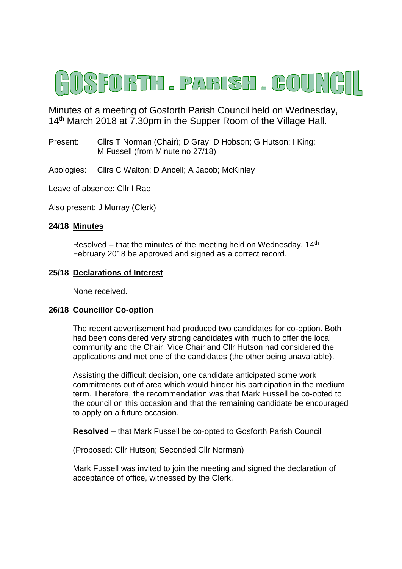

Minutes of a meeting of Gosforth Parish Council held on Wednesday, 14<sup>th</sup> March 2018 at 7.30pm in the Supper Room of the Village Hall.

Present: Clirs T Norman (Chair); D Gray; D Hobson; G Hutson; I King; M Fussell (from Minute no 27/18)

Apologies: Cllrs C Walton; D Ancell; A Jacob; McKinley

Leave of absence: Cllr I Rae

Also present: J Murray (Clerk)

#### **24/18 Minutes**

Resolved – that the minutes of the meeting held on Wednesday,  $14<sup>th</sup>$ February 2018 be approved and signed as a correct record.

#### **25/18 Declarations of Interest**

None received.

#### **26/18 Councillor Co-option**

The recent advertisement had produced two candidates for co-option. Both had been considered very strong candidates with much to offer the local community and the Chair, Vice Chair and Cllr Hutson had considered the applications and met one of the candidates (the other being unavailable).

Assisting the difficult decision, one candidate anticipated some work commitments out of area which would hinder his participation in the medium term. Therefore, the recommendation was that Mark Fussell be co-opted to the council on this occasion and that the remaining candidate be encouraged to apply on a future occasion.

**Resolved –** that Mark Fussell be co-opted to Gosforth Parish Council

(Proposed: Cllr Hutson; Seconded Cllr Norman)

Mark Fussell was invited to join the meeting and signed the declaration of acceptance of office, witnessed by the Clerk.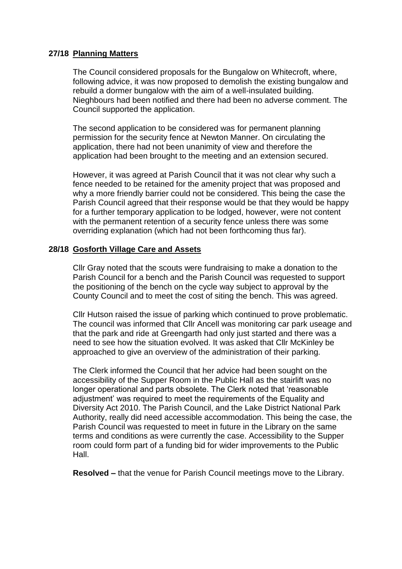# **27/18 Planning Matters**

The Council considered proposals for the Bungalow on Whitecroft, where, following advice, it was now proposed to demolish the existing bungalow and rebuild a dormer bungalow with the aim of a well-insulated building. Nieghbours had been notified and there had been no adverse comment. The Council supported the application.

The second application to be considered was for permanent planning permission for the security fence at Newton Manner. On circulating the application, there had not been unanimity of view and therefore the application had been brought to the meeting and an extension secured.

However, it was agreed at Parish Council that it was not clear why such a fence needed to be retained for the amenity project that was proposed and why a more friendly barrier could not be considered. This being the case the Parish Council agreed that their response would be that they would be happy for a further temporary application to be lodged, however, were not content with the permanent retention of a security fence unless there was some overriding explanation (which had not been forthcoming thus far).

### **28/18 Gosforth Village Care and Assets**

Cllr Gray noted that the scouts were fundraising to make a donation to the Parish Council for a bench and the Parish Council was requested to support the positioning of the bench on the cycle way subject to approval by the County Council and to meet the cost of siting the bench. This was agreed.

Cllr Hutson raised the issue of parking which continued to prove problematic. The council was informed that Cllr Ancell was monitoring car park useage and that the park and ride at Greengarth had only just started and there was a need to see how the situation evolved. It was asked that Cllr McKinley be approached to give an overview of the administration of their parking.

The Clerk informed the Council that her advice had been sought on the accessibility of the Supper Room in the Public Hall as the stairlift was no longer operational and parts obsolete. The Clerk noted that 'reasonable adjustment' was required to meet the requirements of the Equality and Diversity Act 2010. The Parish Council, and the Lake District National Park Authority, really did need accessible accommodation. This being the case, the Parish Council was requested to meet in future in the Library on the same terms and conditions as were currently the case. Accessibility to the Supper room could form part of a funding bid for wider improvements to the Public Hall.

**Resolved –** that the venue for Parish Council meetings move to the Library.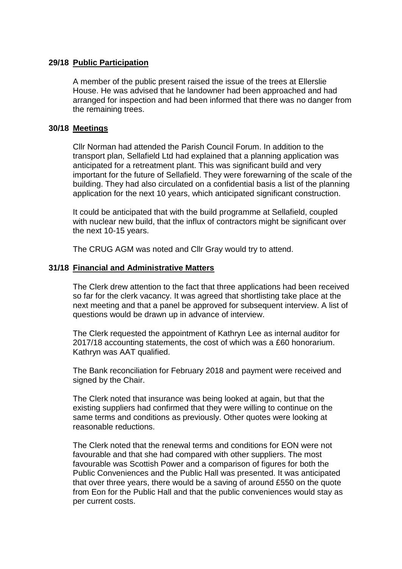# **29/18 Public Participation**

A member of the public present raised the issue of the trees at Ellerslie House. He was advised that he landowner had been approached and had arranged for inspection and had been informed that there was no danger from the remaining trees.

# **30/18 Meetings**

Cllr Norman had attended the Parish Council Forum. In addition to the transport plan, Sellafield Ltd had explained that a planning application was anticipated for a retreatment plant. This was significant build and very important for the future of Sellafield. They were forewarning of the scale of the building. They had also circulated on a confidential basis a list of the planning application for the next 10 years, which anticipated significant construction.

It could be anticipated that with the build programme at Sellafield, coupled with nuclear new build, that the influx of contractors might be significant over the next 10-15 years.

The CRUG AGM was noted and Cllr Gray would try to attend.

# **31/18 Financial and Administrative Matters**

The Clerk drew attention to the fact that three applications had been received so far for the clerk vacancy. It was agreed that shortlisting take place at the next meeting and that a panel be approved for subsequent interview. A list of questions would be drawn up in advance of interview.

The Clerk requested the appointment of Kathryn Lee as internal auditor for 2017/18 accounting statements, the cost of which was a £60 honorarium. Kathryn was AAT qualified.

The Bank reconciliation for February 2018 and payment were received and signed by the Chair.

The Clerk noted that insurance was being looked at again, but that the existing suppliers had confirmed that they were willing to continue on the same terms and conditions as previously. Other quotes were looking at reasonable reductions.

The Clerk noted that the renewal terms and conditions for EON were not favourable and that she had compared with other suppliers. The most favourable was Scottish Power and a comparison of figures for both the Public Conveniences and the Public Hall was presented. It was anticipated that over three years, there would be a saving of around £550 on the quote from Eon for the Public Hall and that the public conveniences would stay as per current costs.